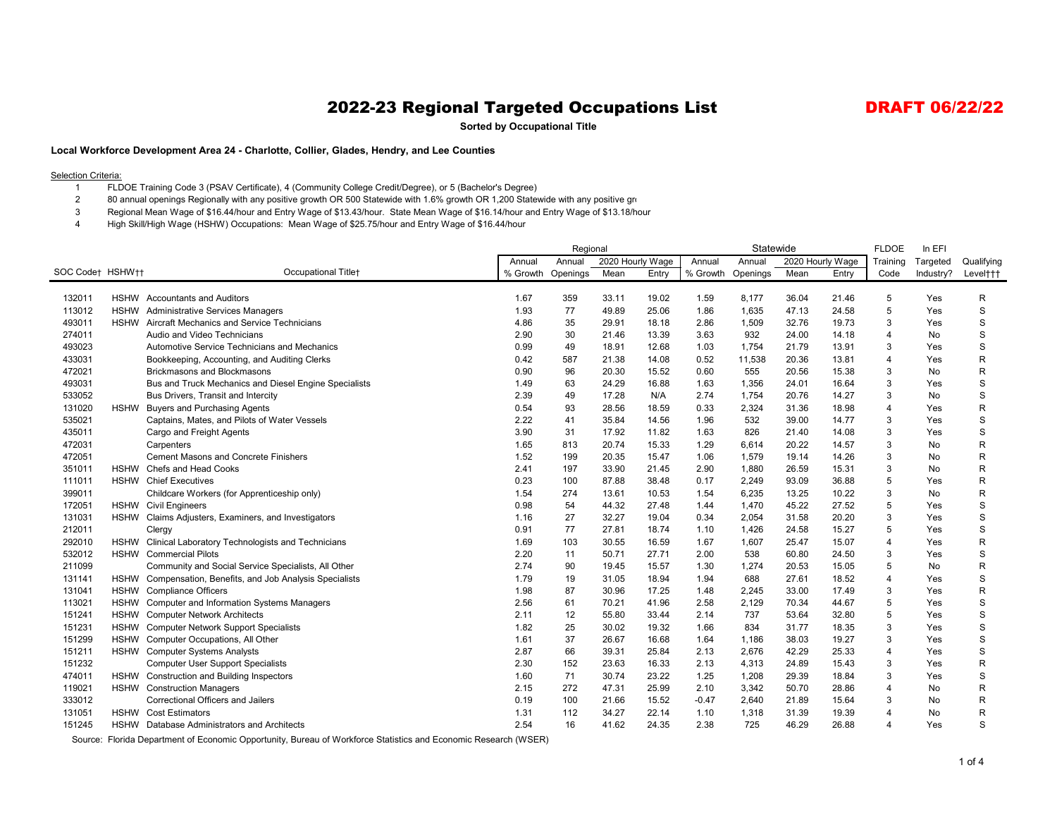**Sorted by Occupational Title**

#### **Local Workforce Development Area 24 - Charlotte, Collier, Glades, Hendry, and Lee Counties**

#### **Selection Criteria:**

- FLDOE Training Code 3 (PSAV Certificate), 4 (Community College Credit/Degree), or 5 (Bachelor's Degree)
- 80 annual openings Regionally with any positive growth OR 500 Statewide with 1.6% growth OR 1,200 Statewide with any positive growth
- Regional Mean Wage of \$16.44/hour and Entry Wage of \$13.43/hour. State Mean Wage of \$16.14/hour and Entry Wage of \$13.18/hour
- High Skill/High Wage (HSHW) Occupations: Mean Wage of \$25.75/hour and Entry Wage of \$16.44/hour

|                  |             |                                                           |          | Regional |                  |       |          | Statewide |                  | <b>FLDOE</b> | In EFI         |           |              |
|------------------|-------------|-----------------------------------------------------------|----------|----------|------------------|-------|----------|-----------|------------------|--------------|----------------|-----------|--------------|
|                  |             |                                                           | Annual   | Annual   | 2020 Hourly Wage |       | Annual   | Annual    | 2020 Hourly Wage |              | Training       | Targeted  | Qualifying   |
| SOC Code† HSHW†† |             | Occupational Titlet                                       | % Growth | Openings | Mean             | Entry | % Growth | Openings  | Mean             | Entry        | Code           | Industry? | Level†††     |
| 132011           | <b>HSHW</b> | <b>Accountants and Auditors</b>                           | 1.67     | 359      | 33.11            | 19.02 | 1.59     | 8,177     | 36.04            | 21.46        | 5              | Yes       | R            |
| 113012           |             | HSHW Administrative Services Managers                     | 1.93     | 77       | 49.89            | 25.06 | 1.86     | 1,635     | 47.13            | 24.58        | 5              | Yes       | S            |
| 493011           |             | HSHW Aircraft Mechanics and Service Technicians           | 4.86     | 35       | 29.91            | 18.18 | 2.86     | 1,509     | 32.76            | 19.73        | 3              | Yes       | S            |
| 274011           |             | Audio and Video Technicians                               | 2.90     | 30       | 21.46            | 13.39 | 3.63     | 932       | 24.00            | 14.18        | $\overline{4}$ | <b>No</b> | S            |
| 493023           |             | <b>Automotive Service Technicians and Mechanics</b>       | 0.99     | 49       | 18.91            | 12.68 | 1.03     | 1,754     | 21.79            | 13.91        | 3              | Yes       | $\mathbb S$  |
| 433031           |             | Bookkeeping, Accounting, and Auditing Clerks              | 0.42     | 587      | 21.38            | 14.08 | 0.52     | 11,538    | 20.36            | 13.81        | $\overline{4}$ | Yes       | R            |
| 472021           |             | <b>Brickmasons and Blockmasons</b>                        | 0.90     | 96       | 20.30            | 15.52 | 0.60     | 555       | 20.56            | 15.38        | 3              | No        | R.           |
| 493031           |             | Bus and Truck Mechanics and Diesel Engine Specialists     | 1.49     | 63       | 24.29            | 16.88 | 1.63     | 1,356     | 24.01            | 16.64        | 3              | Yes       | S            |
| 533052           |             | Bus Drivers, Transit and Intercity                        | 2.39     | 49       | 17.28            | N/A   | 2.74     | 1,754     | 20.76            | 14.27        | 3              | No        | Ś            |
| 131020           | <b>HSHW</b> | <b>Buyers and Purchasing Agents</b>                       | 0.54     | 93       | 28.56            | 18.59 | 0.33     | 2,324     | 31.36            | 18.98        | $\overline{4}$ | Yes       | R            |
| 535021           |             | Captains, Mates, and Pilots of Water Vessels              | 2.22     | 41       | 35.84            | 14.56 | 1.96     | 532       | 39.00            | 14.77        | 3              | Yes       | S            |
| 435011           |             | Cargo and Freight Agents                                  | 3.90     | 31       | 17.92            | 11.82 | 1.63     | 826       | 21.40            | 14.08        | 3              | Yes       | S            |
| 472031           |             | Carpenters                                                | 1.65     | 813      | 20.74            | 15.33 | 1.29     | 6,614     | 20.22            | 14.57        | 3              | No        | R            |
| 472051           |             | <b>Cement Masons and Concrete Finishers</b>               | 1.52     | 199      | 20.35            | 15.47 | 1.06     | 1,579     | 19.14            | 14.26        | 3              | No        | $\mathsf R$  |
| 351011           |             | HSHW Chefs and Head Cooks                                 | 2.41     | 197      | 33.90            | 21.45 | 2.90     | 1,880     | 26.59            | 15.31        | 3              | No        | R            |
| 111011           |             | <b>HSHW</b> Chief Executives                              | 0.23     | 100      | 87.88            | 38.48 | 0.17     | 2,249     | 93.09            | 36.88        | 5              | Yes       | R            |
| 399011           |             | Childcare Workers (for Apprenticeship only)               | 1.54     | 274      | 13.61            | 10.53 | 1.54     | 6,235     | 13.25            | 10.22        | 3              | No        | R            |
| 172051           |             | HSHW Civil Engineers                                      | 0.98     | 54       | 44.32            | 27.48 | 1.44     | 1,470     | 45.22            | 27.52        | 5              | Yes       | S            |
| 131031           | <b>HSHW</b> | Claims Adjusters, Examiners, and Investigators            | 1.16     | 27       | 32.27            | 19.04 | 0.34     | 2,054     | 31.58            | 20.20        | 3              | Yes       | Ś            |
| 212011           |             | Clergy                                                    | 0.91     | 77       | 27.81            | 18.74 | 1.10     | 1,426     | 24.58            | 15.27        | 5              | Yes       | S            |
| 292010           |             | HSHW Clinical Laboratory Technologists and Technicians    | 1.69     | 103      | 30.55            | 16.59 | 1.67     | 1,607     | 25.47            | 15.07        | $\overline{4}$ | Yes       | ${\sf R}$    |
| 532012           | <b>HSHW</b> | <b>Commercial Pilots</b>                                  | 2.20     | 11       | 50.71            | 27.71 | 2.00     | 538       | 60.80            | 24.50        | 3              | Yes       | S            |
| 211099           |             | Community and Social Service Specialists, All Other       | 2.74     | 90       | 19.45            | 15.57 | 1.30     | 1,274     | 20.53            | 15.05        | 5              | No        | R            |
| 131141           |             | HSHW Compensation, Benefits, and Job Analysis Specialists | 1.79     | 19       | 31.05            | 18.94 | 1.94     | 688       | 27.61            | 18.52        | 4              | Yes       | S            |
| 131041           |             | HSHW Compliance Officers                                  | 1.98     | 87       | 30.96            | 17.25 | 1.48     | 2,245     | 33.00            | 17.49        | 3              | Yes       | $\mathsf{R}$ |
| 113021           |             | HSHW Computer and Information Systems Managers            | 2.56     | 61       | 70.21            | 41.96 | 2.58     | 2,129     | 70.34            | 44.67        | 5              | Yes       | S            |
| 151241           | <b>HSHW</b> | <b>Computer Network Architects</b>                        | 2.11     | 12       | 55.80            | 33.44 | 2.14     | 737       | 53.64            | 32.80        | 5              | Yes       | S            |
| 151231           | <b>HSHW</b> | <b>Computer Network Support Specialists</b>               | 1.82     | 25       | 30.02            | 19.32 | 1.66     | 834       | 31.77            | 18.35        | 3              | Yes       | S            |
| 151299           | <b>HSHW</b> | Computer Occupations, All Other                           | 1.61     | 37       | 26.67            | 16.68 | 1.64     | 1.186     | 38.03            | 19.27        | 3              | Yes       | S            |
| 151211           |             | HSHW Computer Systems Analysts                            | 2.87     | 66       | 39.31            | 25.84 | 2.13     | 2,676     | 42.29            | 25.33        | $\overline{4}$ | Yes       | S            |
| 151232           |             | <b>Computer User Support Specialists</b>                  | 2.30     | 152      | 23.63            | 16.33 | 2.13     | 4,313     | 24.89            | 15.43        | 3              | Yes       | $\mathsf R$  |
| 474011           |             | HSHW Construction and Building Inspectors                 | 1.60     | 71       | 30.74            | 23.22 | 1.25     | 1,208     | 29.39            | 18.84        | 3              | Yes       | $\mathbb S$  |
| 119021           |             | <b>HSHW</b> Construction Managers                         | 2.15     | 272      | 47.31            | 25.99 | 2.10     | 3,342     | 50.70            | 28.86        | $\overline{4}$ | No        | R            |
| 333012           |             | <b>Correctional Officers and Jailers</b>                  | 0.19     | 100      | 21.66            | 15.52 | $-0.47$  | 2,640     | 21.89            | 15.64        | 3              | No        | R.           |
| 131051           |             | <b>HSHW</b> Cost Estimators                               | 1.31     | 112      | 34.27            | 22.14 | 1.10     | 1,318     | 31.39            | 19.39        | $\overline{4}$ | No        | R            |
| 151245           |             | HSHW Database Administrators and Architects               | 2.54     | 16       | 41.62            | 24.35 | 2.38     | 725       | 46.29            | 26.88        | $\overline{4}$ | Yes       | S            |

Source: Florida Department of Economic Opportunity, Bureau of Workforce Statistics and Economic Research (WSER)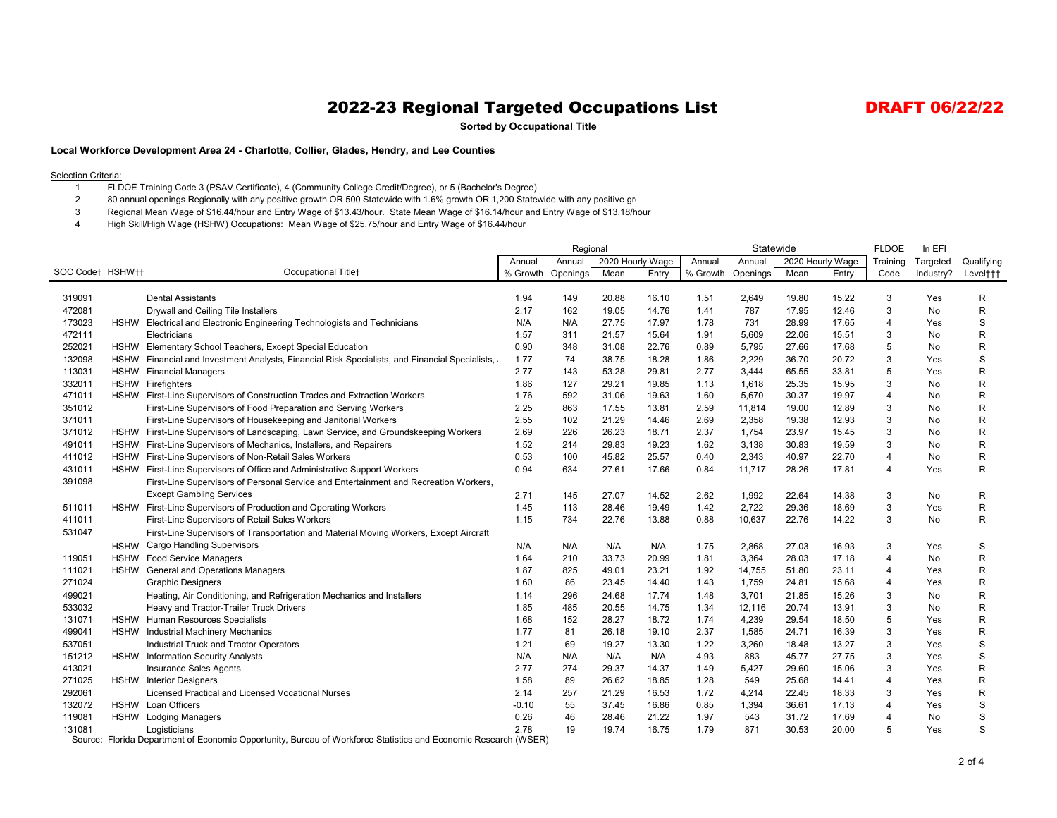**Sorted by Occupational Title**

#### **Local Workforce Development Area 24 - Charlotte, Collier, Glades, Hendry, and Lee Counties**

#### **Selection Criteria:**

- FLDOE Training Code 3 (PSAV Certificate), 4 (Community College Credit/Degree), or 5 (Bachelor's Degree)
- 80 annual openings Regionally with any positive growth OR 500 Statewide with 1.6% growth OR 1,200 Statewide with any positive growth
- Regional Mean Wage of \$16.44/hour and Entry Wage of \$13.43/hour. State Mean Wage of \$16.14/hour and Entry Wage of \$13.18/hour
- High Skill/High Wage (HSHW) Occupations: Mean Wage of \$25.75/hour and Entry Wage of \$16.44/hour

|                   |             |                                                                                                                         | Regional |          |       |                  |          | Statewide |       | <b>FLDOE</b>     | In EFI         |           |              |
|-------------------|-------------|-------------------------------------------------------------------------------------------------------------------------|----------|----------|-------|------------------|----------|-----------|-------|------------------|----------------|-----------|--------------|
|                   |             |                                                                                                                         | Annual   | Annual   |       | 2020 Hourly Wage | Annual   | Annual    |       | 2020 Hourly Wage | Training       | Targeted  | Qualifying   |
| SOC Code† HSHW††  |             | Occupational Titlet                                                                                                     | % Growth | Openings | Mean  | Entry            | % Growth | Openings  | Mean  | Entry            | Code           | Industry? | Level†††     |
|                   |             |                                                                                                                         |          |          |       |                  |          |           |       |                  |                |           |              |
| 319091            |             | <b>Dental Assistants</b>                                                                                                | 1.94     | 149      | 20.88 | 16.10            | 1.51     | 2,649     | 19.80 | 15.22            | 3              | Yes       | R            |
| 472081            |             | Drywall and Ceiling Tile Installers                                                                                     | 2.17     | 162      | 19.05 | 14.76            | 1.41     | 787       | 17.95 | 12.46            | 3              | No        | ${\sf R}$    |
| 173023            | <b>HSHW</b> | Electrical and Electronic Engineering Technologists and Technicians                                                     | N/A      | N/A      | 27.75 | 17.97            | 1.78     | 731       | 28.99 | 17.65            | $\overline{4}$ | Yes       | S            |
| 472111            |             | Electricians                                                                                                            | 1.57     | 311      | 21.57 | 15.64            | 1.91     | 5,609     | 22.06 | 15.51            | 3              | <b>No</b> | R            |
| 252021            |             | HSHW Elementary School Teachers, Except Special Education                                                               | 0.90     | 348      | 31.08 | 22.76            | 0.89     | 5,795     | 27.66 | 17.68            | 5              | <b>No</b> | R            |
| 132098            |             | HSHW Financial and Investment Analysts, Financial Risk Specialists, and Financial Specialists,                          | 1.77     | 74       | 38.75 | 18.28            | 1.86     | 2,229     | 36.70 | 20.72            | 3              | Yes       | S            |
| 113031            |             | <b>HSHW</b> Financial Managers                                                                                          | 2.77     | 143      | 53.28 | 29.81            | 2.77     | 3,444     | 65.55 | 33.81            | 5              | Yes       | R            |
| 332011            |             | HSHW Firefighters                                                                                                       | 1.86     | 127      | 29.21 | 19.85            | 1.13     | 1,618     | 25.35 | 15.95            | 3              | No        | ${\sf R}$    |
| 471011            |             | HSHW First-Line Supervisors of Construction Trades and Extraction Workers                                               | 1.76     | 592      | 31.06 | 19.63            | 1.60     | 5,670     | 30.37 | 19.97            | $\overline{4}$ | No        | R            |
| 351012            |             | First-Line Supervisors of Food Preparation and Serving Workers                                                          | 2.25     | 863      | 17.55 | 13.81            | 2.59     | 11,814    | 19.00 | 12.89            | $\mathbf{3}$   | <b>No</b> | ${\sf R}$    |
| 371011            |             | First-Line Supervisors of Housekeeping and Janitorial Workers                                                           | 2.55     | 102      | 21.29 | 14.46            | 2.69     | 2,358     | 19.38 | 12.93            | 3              | No        | ${\sf R}$    |
| 371012            |             | HSHW First-Line Supervisors of Landscaping, Lawn Service, and Groundskeeping Workers                                    | 2.69     | 226      | 26.23 | 18.71            | 2.37     | 1,754     | 23.97 | 15.45            | 3              | <b>No</b> | R            |
| 491011            |             | HSHW First-Line Supervisors of Mechanics, Installers, and Repairers                                                     | 1.52     | 214      | 29.83 | 19.23            | 1.62     | 3,138     | 30.83 | 19.59            | 3              | <b>No</b> | ${\sf R}$    |
| 411012            |             | HSHW First-Line Supervisors of Non-Retail Sales Workers                                                                 | 0.53     | 100      | 45.82 | 25.57            | 0.40     | 2,343     | 40.97 | 22.70            | $\overline{a}$ | No        | ${\sf R}$    |
| 431011            |             | HSHW First-Line Supervisors of Office and Administrative Support Workers                                                | 0.94     | 634      | 27.61 | 17.66            | 0.84     | 11,717    | 28.26 | 17.81            | $\overline{4}$ | Yes       | R            |
| 391098            |             | First-Line Supervisors of Personal Service and Entertainment and Recreation Workers,                                    |          |          |       |                  |          |           |       |                  |                |           |              |
|                   |             | <b>Except Gambling Services</b>                                                                                         | 2.71     | 145      | 27.07 | 14.52            | 2.62     | 1,992     | 22.64 | 14.38            | $\mathbf{3}$   | No.       | R            |
| 511011            | <b>HSHW</b> | First-Line Supervisors of Production and Operating Workers                                                              | 1.45     | 113      | 28.46 | 19.49            | 1.42     | 2,722     | 29.36 | 18.69            | 3              | Yes       | R            |
| 411011            |             | First-Line Supervisors of Retail Sales Workers                                                                          | 1.15     | 734      | 22.76 | 13.88            | 0.88     | 10,637    | 22.76 | 14.22            | 3              | <b>No</b> | R            |
| 531047            |             | First-Line Supervisors of Transportation and Material Moving Workers, Except Aircraft                                   |          |          |       |                  |          |           |       |                  |                |           |              |
|                   |             | HSHW Cargo Handling Supervisors                                                                                         | N/A      | N/A      | N/A   | N/A              | 1.75     | 2,868     | 27.03 | 16.93            | 3              | Yes       | S            |
| 119051            |             | HSHW Food Service Managers                                                                                              | 1.64     | 210      | 33.73 | 20.99            | 1.81     | 3,364     | 28.03 | 17.18            | $\overline{4}$ | No        | ${\sf R}$    |
| 111021            | <b>HSHW</b> | <b>General and Operations Managers</b>                                                                                  | 1.87     | 825      | 49.01 | 23.21            | 1.92     | 14,755    | 51.80 | 23.11            | $\overline{4}$ | Yes       | R            |
| 271024            |             | <b>Graphic Designers</b>                                                                                                | 1.60     | 86       | 23.45 | 14.40            | 1.43     | 1,759     | 24.81 | 15.68            | $\overline{4}$ | Yes       | ${\sf R}$    |
| 499021            |             | Heating, Air Conditioning, and Refrigeration Mechanics and Installers                                                   | 1.14     | 296      | 24.68 | 17.74            | 1.48     | 3,701     | 21.85 | 15.26            | $\mathbf{3}$   | No        | R            |
| 533032            |             | Heavy and Tractor-Trailer Truck Drivers                                                                                 | 1.85     | 485      | 20.55 | 14.75            | 1.34     | 12,116    | 20.74 | 13.91            | 3              | No        | $\mathsf R$  |
| 131071            |             | HSHW Human Resources Specialists                                                                                        | 1.68     | 152      | 28.27 | 18.72            | 1.74     | 4,239     | 29.54 | 18.50            | 5              | Yes       | $\mathsf{R}$ |
| 499041            |             | HSHW Industrial Machinery Mechanics                                                                                     | 1.77     | 81       | 26.18 | 19.10            | 2.37     | 1,585     | 24.71 | 16.39            | $\mathbf{3}$   | Yes       | ${\sf R}$    |
| 537051            |             | <b>Industrial Truck and Tractor Operators</b>                                                                           | 1.21     | 69       | 19.27 | 13.30            | 1.22     | 3,260     | 18.48 | 13.27            | 3              | Yes       | S            |
| 151212            |             | <b>HSHW</b> Information Security Analysts                                                                               | N/A      | N/A      | N/A   | N/A              | 4.93     | 883       | 45.77 | 27.75            | 3              | Yes       | S            |
| 413021            |             | <b>Insurance Sales Agents</b>                                                                                           | 2.77     | 274      | 29.37 | 14.37            | 1.49     | 5,427     | 29.60 | 15.06            | 3              | Yes       | $\mathsf R$  |
|                   |             |                                                                                                                         |          |          |       |                  |          |           |       |                  | $\overline{4}$ |           |              |
| 271025            |             | <b>HSHW</b> Interior Designers                                                                                          | 1.58     | 89       | 26.62 | 18.85            | 1.28     | 549       | 25.68 | 14.41            |                | Yes       | ${\sf R}$    |
| 292061            |             | Licensed Practical and Licensed Vocational Nurses                                                                       | 2.14     | 257      | 21.29 | 16.53            | 1.72     | 4,214     | 22.45 | 18.33            | 3              | Yes       | $\mathsf R$  |
| 132072            |             | HSHW Loan Officers                                                                                                      | $-0.10$  | 55       | 37.45 | 16.86            | 0.85     | 1,394     | 36.61 | 17.13            | $\overline{4}$ | Yes       | $\mathbf S$  |
| 119081            |             | HSHW Lodging Managers                                                                                                   | 0.26     | 46       | 28.46 | 21.22            | 1.97     | 543       | 31.72 | 17.69            | $\overline{4}$ | No        | S            |
| 131081<br>Source: |             | Logisticians<br>Florida Department of Economic Opportunity, Bureau of Workforce Statistics and Economic Research (WSER) | 2.78     | 19       | 19.74 | 16.75            | 1.79     | 871       | 30.53 | 20.00            | $\overline{5}$ | Yes       | S            |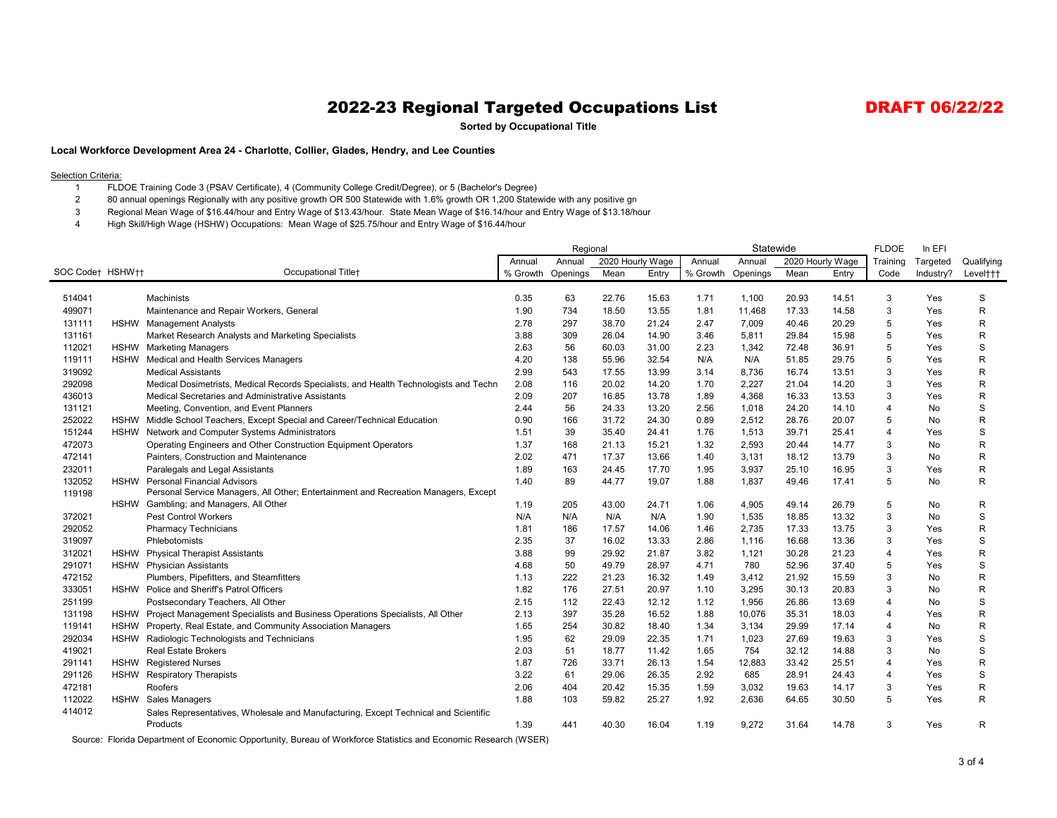**Sorted by Occupational Title**

#### **Local Workforce Development Area 24 - Charlotte, Collier, Glades, Hendry, and Lee Counties**

#### **Selection Criteria:**

- FLDOE Training Code 3 (PSAV Certificate), 4 (Community College Credit/Degree), or 5 (Bachelor's Degree)
- 80 annual openings Regionally with any positive growth OR 500 Statewide with 1.6% growth OR 1,200 Statewide with any positive growth
- Regional Mean Wage of \$16.44/hour and Entry Wage of \$13.43/hour. State Mean Wage of \$16.14/hour and Entry Wage of \$13.18/hour
- High Skill/High Wage (HSHW) Occupations: Mean Wage of \$25.75/hour and Entry Wage of \$16.44/hour

|                  |                                                                                       | Regional |          |                  |       |          | Statewide |                  | <b>FLDOE</b> | In EFI         |           |              |
|------------------|---------------------------------------------------------------------------------------|----------|----------|------------------|-------|----------|-----------|------------------|--------------|----------------|-----------|--------------|
|                  |                                                                                       | Annual   | Annual   | 2020 Hourly Wage |       | Annual   | Annual    | 2020 Hourly Wage |              | Training       | Targeted  | Qualifying   |
| SOC Code† HSHW†† | Occupational Titlet                                                                   | % Growth | Openings | Mean             | Entry | % Growth | Openings  | Mean             | Entry        | Code           | Industry? | Levelttt     |
| 514041           | Machinists                                                                            | 0.35     | 63       | 22.76            | 15.63 | 1.71     | 1,100     | 20.93            | 14.51        | 3              | Yes       | S            |
| 499071           | Maintenance and Repair Workers, General                                               | 1.90     | 734      | 18.50            | 13.55 |          | 11,468    | 17.33            | 14.58        | 3              | Yes       | ${\sf R}$    |
|                  |                                                                                       |          |          |                  |       | 1.81     |           |                  |              |                |           |              |
| 131111           | HSHW Management Analysts                                                              | 2.78     | 297      | 38.70            | 21.24 | 2.47     | 7,009     | 40.46            | 20.29        | 5              | Yes       | $\mathsf R$  |
| 131161           | Market Research Analysts and Marketing Specialists                                    | 3.88     | 309      | 26.04            | 14.90 | 3.46     | 5,811     | 29.84            | 15.98        | 5              | Yes       | $\mathsf R$  |
| 112021           | HSHW Marketing Managers                                                               | 2.63     | 56       | 60.03            | 31.00 | 2.23     | 1,342     | 72.48            | 36.91        | 5              | Yes       | S            |
| 119111           | HSHW Medical and Health Services Managers                                             | 4.20     | 138      | 55.96            | 32.54 | N/A      | N/A       | 51.85            | 29.75        | 5              | Yes       | $\mathsf R$  |
| 319092           | <b>Medical Assistants</b>                                                             | 2.99     | 543      | 17.55            | 13.99 | 3.14     | 8,736     | 16.74            | 13.51        | 3              | Yes       | $\mathsf R$  |
| 292098           | Medical Dosimetrists, Medical Records Specialists, and Health Technologists and Techn | 2.08     | 116      | 20.02            | 14.20 | 1.70     | 2,227     | 21.04            | 14.20        | 3              | Yes       | R            |
| 436013           | Medical Secretaries and Administrative Assistants                                     | 2.09     | 207      | 16.85            | 13.78 | 1.89     | 4,368     | 16.33            | 13.53        | 3              | Yes       | R.           |
| 131121           | Meeting, Convention, and Event Planners                                               | 2.44     | 56       | 24.33            | 13.20 | 2.56     | 1,018     | 24.20            | 14.10        | 4              | No        | $\mathbf S$  |
| 252022           | HSHW Middle School Teachers, Except Special and Career/Technical Education            | 0.90     | 166      | 31.72            | 24.30 | 0.89     | 2,512     | 28.76            | 20.07        | 5              | <b>No</b> | $\mathsf{R}$ |
| 151244           | HSHW Network and Computer Systems Administrators                                      | 1.51     | 39       | 35.40            | 24.41 | 1.76     | 1,513     | 39.71            | 25.41        | $\overline{4}$ | Yes       | S            |
| 472073           | Operating Engineers and Other Construction Equipment Operators                        | 1.37     | 168      | 21.13            | 15.21 | 1.32     | 2,593     | 20.44            | 14.77        | 3              | <b>No</b> | R            |
| 472141           | Painters, Construction and Maintenance                                                | 2.02     | 471      | 17.37            | 13.66 | 1.40     | 3,131     | 18.12            | 13.79        | 3              | No        | $\mathsf{R}$ |
| 232011           | Paralegals and Legal Assistants                                                       | 1.89     | 163      | 24.45            | 17.70 | 1.95     | 3,937     | 25.10            | 16.95        | 3              | Yes       | $\mathsf{R}$ |
| 132052           | <b>HSHW</b> Personal Financial Advisors                                               | 1.40     | 89       | 44.77            | 19.07 | 1.88     | 1,837     | 49.46            | 17.41        | 5              | <b>No</b> | R            |
| 119198           | Personal Service Managers, All Other; Entertainment and Recreation Managers, Except   |          |          |                  |       |          |           |                  |              |                |           |              |
|                  | HSHW Gambling; and Managers, All Other                                                | 1.19     | 205      | 43.00            | 24.71 | 1.06     | 4,905     | 49.14            | 26.79        | 5              | No        | R            |
| 372021           | <b>Pest Control Workers</b>                                                           | N/A      | N/A      | N/A              | N/A   | 1.90     | 1,535     | 18.85            | 13.32        | 3              | No.       | S            |
| 292052           | <b>Pharmacy Technicians</b>                                                           | 1.81     | 186      | 17.57            | 14.06 | 1.46     | 2,735     | 17.33            | 13.75        | 3              | Yes       | $\mathsf{R}$ |
| 319097           | Phlebotomists                                                                         | 2.35     | 37       | 16.02            | 13.33 | 2.86     | 1,116     | 16.68            | 13.36        | 3              | Yes       | S            |
| 312021           | HSHW Physical Therapist Assistants                                                    | 3.88     | 99       | 29.92            | 21.87 | 3.82     | 1,121     | 30.28            | 21.23        | $\overline{4}$ | Yes       | $\mathsf{R}$ |
| 291071           | HSHW Physician Assistants                                                             | 4.68     | 50       | 49.79            | 28.97 | 4.71     | 780       | 52.96            | 37.40        | 5              | Yes       | S            |
| 472152           | Plumbers, Pipefitters, and Steamfitters                                               | 1.13     | 222      | 21.23            | 16.32 | 1.49     | 3,412     | 21.92            | 15.59        | 3              | No        | $\mathsf{R}$ |
| 333051           | HSHW Police and Sheriff's Patrol Officers                                             | 1.82     | 176      | 27.51            | 20.97 | 1.10     | 3,295     | 30.13            | 20.83        | 3              | No        | R            |
| 251199           | Postsecondary Teachers, All Other                                                     | 2.15     | 112      | 22.43            | 12.12 | 1.12     | 1,956     | 26.86            | 13.69        | $\overline{4}$ | No        | S            |
| 131198           | HSHW Project Management Specialists and Business Operations Specialists, All Other    | 2.13     | 397      | 35.28            | 16.52 | 1.88     | 10,076    | 35.31            | 18.03        | 4              | Yes       | R            |
| 119141           | HSHW Property, Real Estate, and Community Association Managers                        | 1.65     | 254      | 30.82            | 18.40 | 1.34     | 3,134     | 29.99            | 17.14        | 4              | No        | $\mathsf{R}$ |
| 292034           | HSHW Radiologic Technologists and Technicians                                         | 1.95     | 62       | 29.09            | 22.35 | 1.71     | 1,023     | 27.69            | 19.63        | 3              | Yes       | S            |
| 419021           | <b>Real Estate Brokers</b>                                                            | 2.03     | 51       | 18.77            | 11.42 | 1.65     | 754       | 32.12            | 14.88        | 3              | No        | S            |
| 291141           | HSHW Registered Nurses                                                                | 1.87     | 726      | 33.71            | 26.13 | 1.54     | 12,883    | 33.42            | 25.51        | $\overline{4}$ | Yes       | $\mathsf R$  |
| 291126           | HSHW Respiratory Therapists                                                           | 3.22     | 61       | 29.06            | 26.35 | 2.92     | 685       | 28.91            | 24.43        | $\overline{4}$ | Yes       | S            |
| 472181           | Roofers                                                                               | 2.06     | 404      | 20.42            | 15.35 | 1.59     | 3,032     | 19.63            | 14.17        | 3              | Yes       | R            |
| 112022           | HSHW Sales Managers                                                                   | 1.88     | 103      | 59.82            | 25.27 | 1.92     | 2,636     | 64.65            | 30.50        | 5              | Yes       | R            |
| 414012           | Sales Representatives, Wholesale and Manufacturing, Except Technical and Scientific   |          |          |                  |       |          |           |                  |              |                |           |              |
|                  | Products                                                                              | 1.39     | 441      | 40.30            | 16.04 | 1.19     | 9,272     | 31.64            | 14.78        | 3              | Yes       | R.           |
|                  |                                                                                       |          |          |                  |       |          |           |                  |              |                |           |              |

Source: Florida Department of Economic Opportunity, Bureau of Workforce Statistics and Economic Research (WSER)